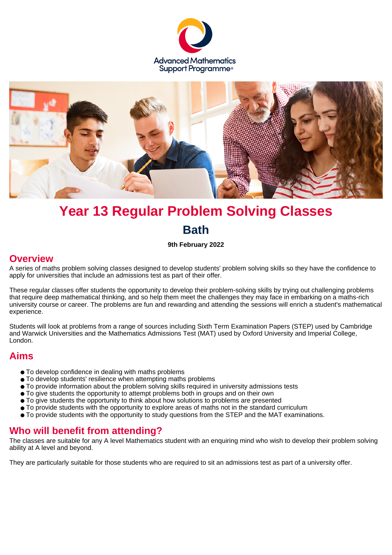



# **Year 13 Regular Problem Solving Classes Bath**

**9th February 2022**

#### **Overview**

A series of maths problem solving classes designed to develop students' problem solving skills so they have the confidence to apply for universities that include an admissions test as part of their offer.

These regular classes offer students the opportunity to develop their problem-solving skills by trying out challenging problems that require deep mathematical thinking, and so help them meet the challenges they may face in embarking on a maths-rich university course or career. The problems are fun and rewarding and attending the sessions will enrich a student's mathematical experience.

Students will look at problems from a range of sources including Sixth Term Examination Papers (STEP) used by Cambridge and Warwick Universities and the Mathematics Admissions Test (MAT) used by Oxford University and Imperial College, London.

## **Aims**

- To develop confidence in dealing with maths problems
- To develop students' resilience when attempting maths problems
- To provide information about the problem solving skills required in university admissions tests
- To give students the opportunity to attempt problems both in groups and on their own
- To give students the opportunity to think about how solutions to problems are presented
- To provide students with the opportunity to explore areas of maths not in the standard curriculum
- To provide students with the opportunity to study questions from the STEP and the MAT examinations.

## **Who will benefit from attending?**

The classes are suitable for any A level Mathematics student with an enquiring mind who wish to develop their problem solving ability at A level and beyond.

They are particularly suitable for those students who are required to sit an admissions test as part of a university offer.